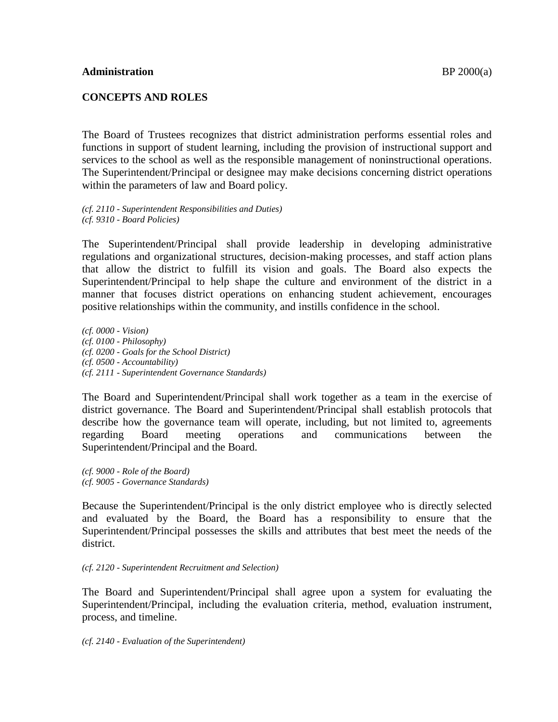### **CONCEPTS AND ROLES**

The Board of Trustees recognizes that district administration performs essential roles and functions in support of student learning, including the provision of instructional support and services to the school as well as the responsible management of noninstructional operations. The Superintendent/Principal or designee may make decisions concerning district operations within the parameters of law and Board policy.

*(cf. 2110 - Superintendent Responsibilities and Duties) (cf. 9310 - Board Policies)*

The Superintendent/Principal shall provide leadership in developing administrative regulations and organizational structures, decision-making processes, and staff action plans that allow the district to fulfill its vision and goals. The Board also expects the Superintendent/Principal to help shape the culture and environment of the district in a manner that focuses district operations on enhancing student achievement, encourages positive relationships within the community, and instills confidence in the school.

*(cf. 0000 - Vision) (cf. 0100 - Philosophy) (cf. 0200 - Goals for the School District) (cf. 0500 - Accountability) (cf. 2111 - Superintendent Governance Standards)*

The Board and Superintendent/Principal shall work together as a team in the exercise of district governance. The Board and Superintendent/Principal shall establish protocols that describe how the governance team will operate, including, but not limited to, agreements regarding Board meeting operations and communications between the Superintendent/Principal and the Board.

*(cf. 9000 - Role of the Board) (cf. 9005 - Governance Standards)*

Because the Superintendent/Principal is the only district employee who is directly selected and evaluated by the Board, the Board has a responsibility to ensure that the Superintendent/Principal possesses the skills and attributes that best meet the needs of the district.

*(cf. 2120 - Superintendent Recruitment and Selection)*

The Board and Superintendent/Principal shall agree upon a system for evaluating the Superintendent/Principal, including the evaluation criteria, method, evaluation instrument, process, and timeline.

*(cf. 2140 - Evaluation of the Superintendent)*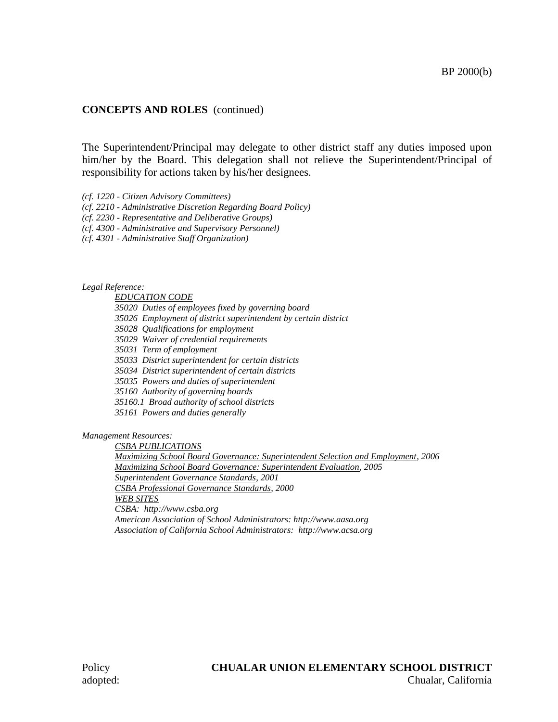### **CONCEPTS AND ROLES** (continued)

The Superintendent/Principal may delegate to other district staff any duties imposed upon him/her by the Board. This delegation shall not relieve the Superintendent/Principal of responsibility for actions taken by his/her designees.

*(cf. 1220 - Citizen Advisory Committees)*

*(cf. 2210 - Administrative Discretion Regarding Board Policy)*

*(cf. 2230 - Representative and Deliberative Groups)*

*(cf. 4300 - Administrative and Supervisory Personnel)*

*(cf. 4301 - Administrative Staff Organization)*

*Legal Reference:*

*EDUCATION CODE*

*35020 Duties of employees fixed by governing board*

*35026 Employment of district superintendent by certain district*

*35028 Qualifications for employment*

*35029 Waiver of credential requirements*

*35031 Term of employment*

*35033 District superintendent for certain districts*

*35034 District superintendent of certain districts*

*35035 Powers and duties of superintendent*

*35160 Authority of governing boards*

*35160.1 Broad authority of school districts*

*35161 Powers and duties generally*

*Management Resources:*

*CSBA PUBLICATIONS Maximizing School Board Governance: Superintendent Selection and Employment, 2006 Maximizing School Board Governance: Superintendent Evaluation, 2005 Superintendent Governance Standards, 2001 CSBA Professional Governance Standards, 2000 WEB SITES CSBA: http://www.csba.org American Association of School Administrators: http://www.aasa.org Association of California School Administrators: http://www.acsa.org*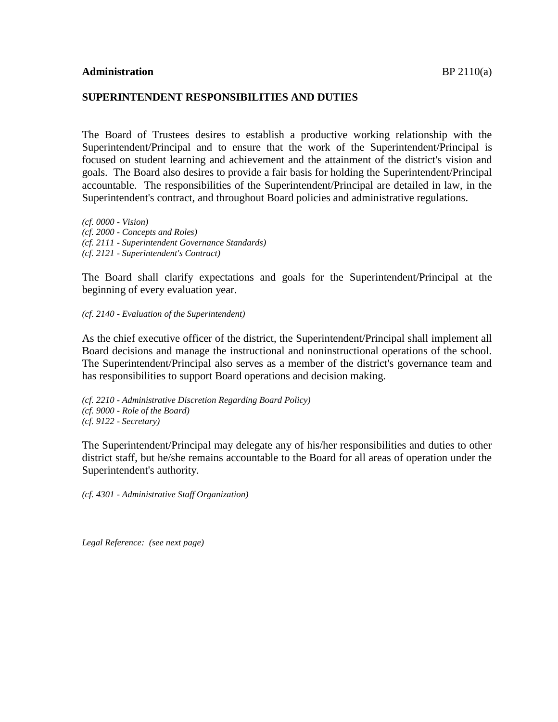#### **SUPERINTENDENT RESPONSIBILITIES AND DUTIES**

The Board of Trustees desires to establish a productive working relationship with the Superintendent/Principal and to ensure that the work of the Superintendent/Principal is focused on student learning and achievement and the attainment of the district's vision and goals. The Board also desires to provide a fair basis for holding the Superintendent/Principal accountable. The responsibilities of the Superintendent/Principal are detailed in law, in the Superintendent's contract, and throughout Board policies and administrative regulations.

*(cf. 0000 - Vision) (cf. 2000 - Concepts and Roles) (cf. 2111 - Superintendent Governance Standards) (cf. 2121 - Superintendent's Contract)*

The Board shall clarify expectations and goals for the Superintendent/Principal at the beginning of every evaluation year.

*(cf. 2140 - Evaluation of the Superintendent)*

As the chief executive officer of the district, the Superintendent/Principal shall implement all Board decisions and manage the instructional and noninstructional operations of the school. The Superintendent/Principal also serves as a member of the district's governance team and has responsibilities to support Board operations and decision making.

*(cf. 2210 - Administrative Discretion Regarding Board Policy) (cf. 9000 - Role of the Board) (cf. 9122 - Secretary)*

The Superintendent/Principal may delegate any of his/her responsibilities and duties to other district staff, but he/she remains accountable to the Board for all areas of operation under the Superintendent's authority.

*(cf. 4301 - Administrative Staff Organization)*

*Legal Reference: (see next page)*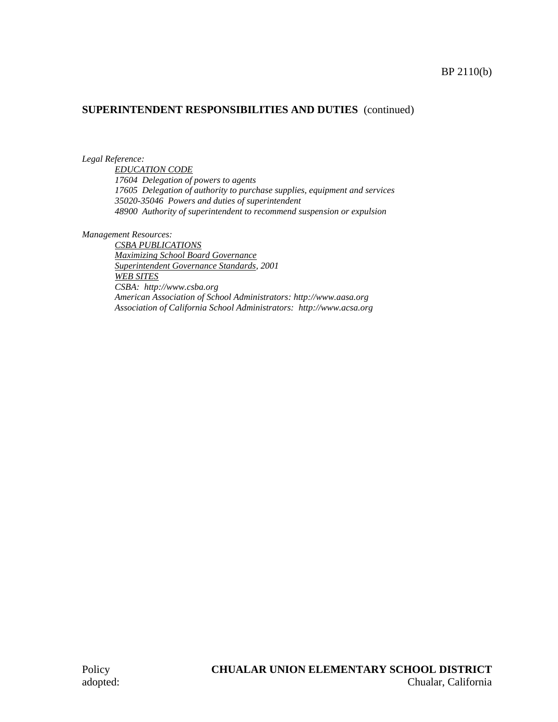### BP 2110(b)

# **SUPERINTENDENT RESPONSIBILITIES AND DUTIES** (continued)

*Legal Reference:*

*EDUCATION CODE 17604 Delegation of powers to agents 17605 Delegation of authority to purchase supplies, equipment and services 35020-35046 Powers and duties of superintendent 48900 Authority of superintendent to recommend suspension or expulsion*

*Management Resources:*

*CSBA PUBLICATIONS Maximizing School Board Governance Superintendent Governance Standards, 2001 WEB SITES CSBA: http://www.csba.org American Association of School Administrators: http://www.aasa.org Association of California School Administrators: http://www.acsa.org*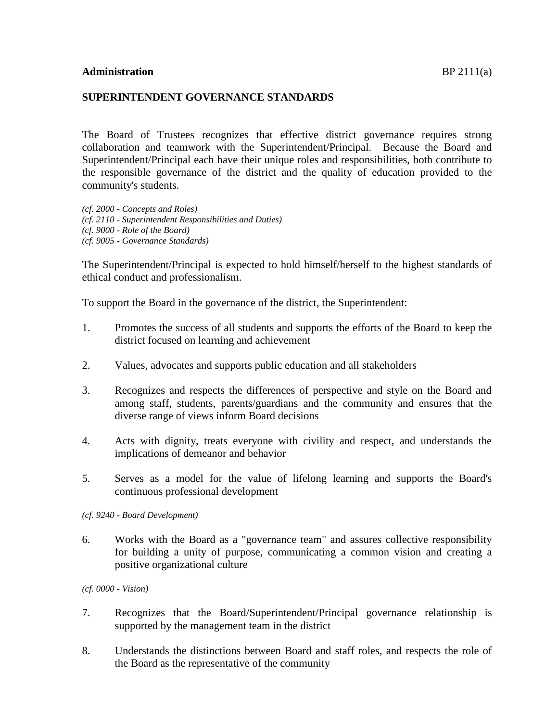#### **SUPERINTENDENT GOVERNANCE STANDARDS**

The Board of Trustees recognizes that effective district governance requires strong collaboration and teamwork with the Superintendent/Principal. Because the Board and Superintendent/Principal each have their unique roles and responsibilities, both contribute to the responsible governance of the district and the quality of education provided to the community's students.

*(cf. 2000 - Concepts and Roles) (cf. 2110 - Superintendent Responsibilities and Duties) (cf. 9000 - Role of the Board) (cf. 9005 - Governance Standards)*

The Superintendent/Principal is expected to hold himself/herself to the highest standards of ethical conduct and professionalism.

To support the Board in the governance of the district, the Superintendent:

- 1. Promotes the success of all students and supports the efforts of the Board to keep the district focused on learning and achievement
- 2. Values, advocates and supports public education and all stakeholders
- 3. Recognizes and respects the differences of perspective and style on the Board and among staff, students, parents/guardians and the community and ensures that the diverse range of views inform Board decisions
- 4. Acts with dignity, treats everyone with civility and respect, and understands the implications of demeanor and behavior
- 5. Serves as a model for the value of lifelong learning and supports the Board's continuous professional development

*(cf. 9240 - Board Development)*

6. Works with the Board as a "governance team" and assures collective responsibility for building a unity of purpose, communicating a common vision and creating a positive organizational culture

*(cf. 0000 - Vision)*

- 7. Recognizes that the Board/Superintendent/Principal governance relationship is supported by the management team in the district
- 8. Understands the distinctions between Board and staff roles, and respects the role of the Board as the representative of the community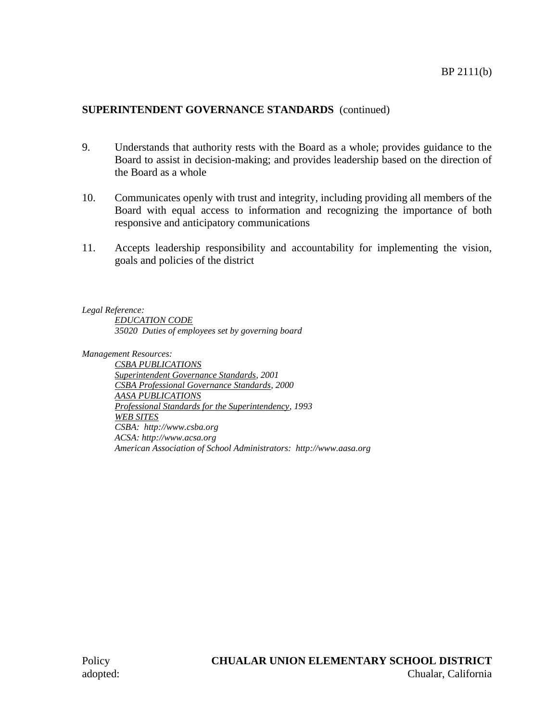### **SUPERINTENDENT GOVERNANCE STANDARDS** (continued)

- 9. Understands that authority rests with the Board as a whole; provides guidance to the Board to assist in decision-making; and provides leadership based on the direction of the Board as a whole
- 10. Communicates openly with trust and integrity, including providing all members of the Board with equal access to information and recognizing the importance of both responsive and anticipatory communications
- 11. Accepts leadership responsibility and accountability for implementing the vision, goals and policies of the district

*Legal Reference:*

*EDUCATION CODE 35020 Duties of employees set by governing board*

*Management Resources:*

*CSBA PUBLICATIONS Superintendent Governance Standards, 2001 CSBA Professional Governance Standards, 2000 AASA PUBLICATIONS Professional Standards for the Superintendency, 1993 WEB SITES CSBA: http://www.csba.org ACSA: http://www.acsa.org American Association of School Administrators: http://www.aasa.org*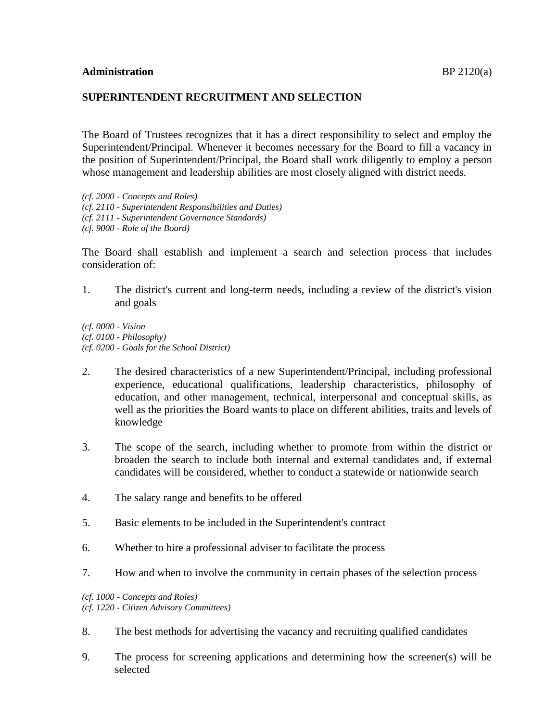### **SUPERINTENDENT RECRUITMENT AND SELECTION**

The Board of Trustees recognizes that it has a direct responsibility to select and employ the Superintendent/Principal. Whenever it becomes necessary for the Board to fill a vacancy in the position of Superintendent/Principal, the Board shall work diligently to employ a person whose management and leadership abilities are most closely aligned with district needs.

*(cf. 2000 - Concepts and Roles) (cf. 2110 - Superintendent Responsibilities and Duties) (cf. 2111 - Superintendent Governance Standards) (cf. 9000 - Role of the Board)*

The Board shall establish and implement a search and selection process that includes consideration of:

1. The district's current and long-term needs, including a review of the district's vision and goals

*(cf. 0000 - Vision (cf. 0100 - Philosophy) (cf. 0200 - Goals for the School District)*

- 2. The desired characteristics of a new Superintendent/Principal, including professional experience, educational qualifications, leadership characteristics, philosophy of education, and other management, technical, interpersonal and conceptual skills, as well as the priorities the Board wants to place on different abilities, traits and levels of knowledge
- 3. The scope of the search, including whether to promote from within the district or broaden the search to include both internal and external candidates and, if external candidates will be considered, whether to conduct a statewide or nationwide search
- 4. The salary range and benefits to be offered
- 5. Basic elements to be included in the Superintendent's contract
- 6. Whether to hire a professional adviser to facilitate the process
- 7. How and when to involve the community in certain phases of the selection process

*(cf. 1000 - Concepts and Roles) (cf. 1220 - Citizen Advisory Committees)*

- 8. The best methods for advertising the vacancy and recruiting qualified candidates
- 9. The process for screening applications and determining how the screener(s) will be selected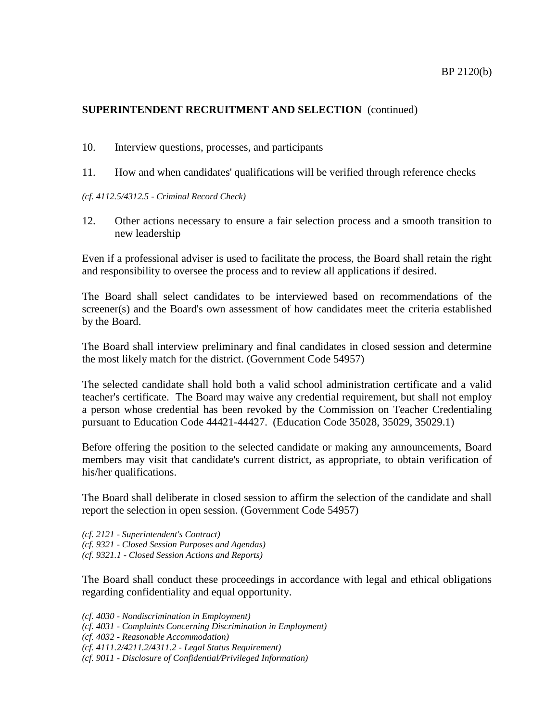### BP 2120(b)

# **SUPERINTENDENT RECRUITMENT AND SELECTION** (continued)

- 10. Interview questions, processes, and participants
- 11. How and when candidates' qualifications will be verified through reference checks
- *(cf. 4112.5/4312.5 - Criminal Record Check)*
- 12. Other actions necessary to ensure a fair selection process and a smooth transition to new leadership

Even if a professional adviser is used to facilitate the process, the Board shall retain the right and responsibility to oversee the process and to review all applications if desired.

The Board shall select candidates to be interviewed based on recommendations of the screener(s) and the Board's own assessment of how candidates meet the criteria established by the Board.

The Board shall interview preliminary and final candidates in closed session and determine the most likely match for the district. (Government Code 54957)

The selected candidate shall hold both a valid school administration certificate and a valid teacher's certificate. The Board may waive any credential requirement, but shall not employ a person whose credential has been revoked by the Commission on Teacher Credentialing pursuant to Education Code 44421-44427. (Education Code 35028, 35029, 35029.1)

Before offering the position to the selected candidate or making any announcements, Board members may visit that candidate's current district, as appropriate, to obtain verification of his/her qualifications.

The Board shall deliberate in closed session to affirm the selection of the candidate and shall report the selection in open session. (Government Code 54957)

*(cf. 2121 - Superintendent's Contract) (cf. 9321 - Closed Session Purposes and Agendas) (cf. 9321.1 - Closed Session Actions and Reports)*

The Board shall conduct these proceedings in accordance with legal and ethical obligations regarding confidentiality and equal opportunity.

- *(cf. 4030 - Nondiscrimination in Employment)*
- *(cf. 4031 - Complaints Concerning Discrimination in Employment)*
- *(cf. 4032 - Reasonable Accommodation)*
- *(cf. 4111.2/4211.2/4311.2 - Legal Status Requirement)*
- *(cf. 9011 - Disclosure of Confidential/Privileged Information)*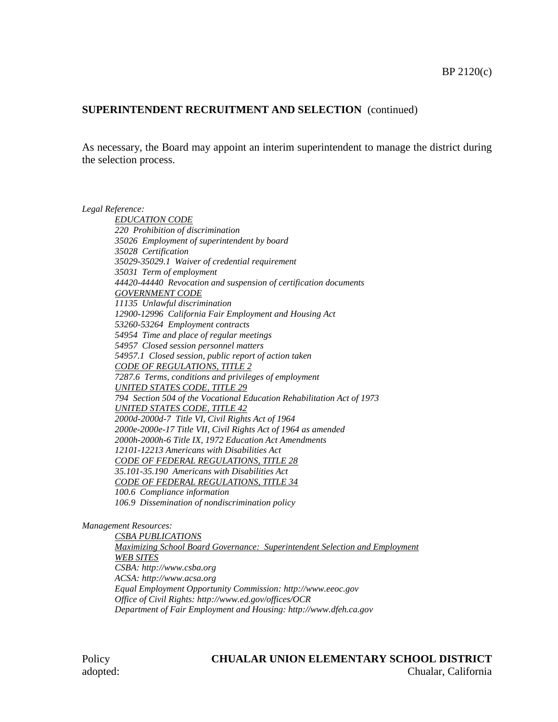### **SUPERINTENDENT RECRUITMENT AND SELECTION** (continued)

As necessary, the Board may appoint an interim superintendent to manage the district during the selection process.

*Legal Reference: EDUCATION CODE 220 Prohibition of discrimination 35026 Employment of superintendent by board 35028 Certification 35029-35029.1 Waiver of credential requirement 35031 Term of employment 44420-44440 Revocation and suspension of certification documents GOVERNMENT CODE 11135 Unlawful discrimination 12900-12996 California Fair Employment and Housing Act 53260-53264 Employment contracts 54954 Time and place of regular meetings 54957 Closed session personnel matters 54957.1 Closed session, public report of action taken CODE OF REGULATIONS, TITLE 2 7287.6 Terms, conditions and privileges of employment UNITED STATES CODE, TITLE 29 794 Section 504 of the Vocational Education Rehabilitation Act of 1973 UNITED STATES CODE, TITLE 42 2000d-2000d-7 Title VI, Civil Rights Act of 1964 2000e-2000e-17 Title VII, Civil Rights Act of 1964 as amended 2000h-2000h-6 Title IX, 1972 Education Act Amendments 12101-12213 Americans with Disabilities Act CODE OF FEDERAL REGULATIONS, TITLE 28 35.101-35.190 Americans with Disabilities Act CODE OF FEDERAL REGULATIONS, TITLE 34 100.6 Compliance information 106.9 Dissemination of nondiscrimination policy*

#### *Management Resources:*

*CSBA PUBLICATIONS Maximizing School Board Governance: Superintendent Selection and Employment WEB SITES CSBA: http://www.csba.org ACSA: http://www.acsa.org Equal Employment Opportunity Commission: http://www.eeoc.gov Office of Civil Rights: http://www.ed.gov/offices/OCR Department of Fair Employment and Housing: http://www.dfeh.ca.gov*

### Policy **CHUALAR UNION ELEMENTARY SCHOOL DISTRICT** adopted: Chualar, California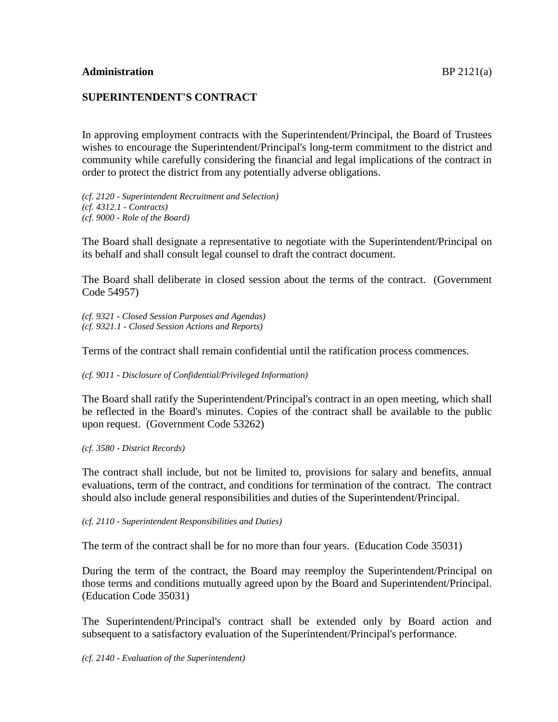# **SUPERINTENDENT'S CONTRACT**

In approving employment contracts with the Superintendent/Principal, the Board of Trustees wishes to encourage the Superintendent/Principal's long-term commitment to the district and community while carefully considering the financial and legal implications of the contract in order to protect the district from any potentially adverse obligations.

*(cf. 2120 - Superintendent Recruitment and Selection) (cf. 4312.1 - Contracts) (cf. 9000 - Role of the Board)*

The Board shall designate a representative to negotiate with the Superintendent/Principal on its behalf and shall consult legal counsel to draft the contract document.

The Board shall deliberate in closed session about the terms of the contract. (Government Code 54957)

*(cf. 9321 - Closed Session Purposes and Agendas) (cf. 9321.1 - Closed Session Actions and Reports)*

Terms of the contract shall remain confidential until the ratification process commences.

*(cf. 9011 - Disclosure of Confidential/Privileged Information)*

The Board shall ratify the Superintendent/Principal's contract in an open meeting, which shall be reflected in the Board's minutes. Copies of the contract shall be available to the public upon request. (Government Code 53262)

*(cf. 3580 - District Records)*

The contract shall include, but not be limited to, provisions for salary and benefits, annual evaluations, term of the contract, and conditions for termination of the contract. The contract should also include general responsibilities and duties of the Superintendent/Principal.

*(cf. 2110 - Superintendent Responsibilities and Duties)*

The term of the contract shall be for no more than four years. (Education Code 35031)

During the term of the contract, the Board may reemploy the Superintendent/Principal on those terms and conditions mutually agreed upon by the Board and Superintendent/Principal. (Education Code 35031)

The Superintendent/Principal's contract shall be extended only by Board action and subsequent to a satisfactory evaluation of the Superintendent/Principal's performance.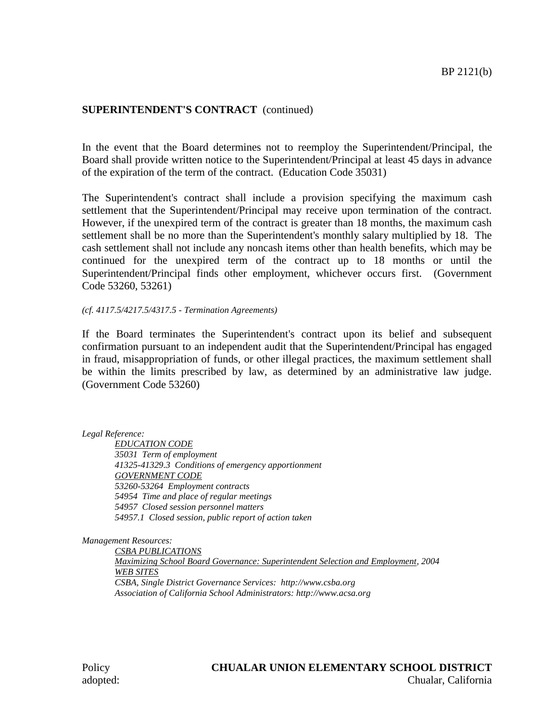### **SUPERINTENDENT'S CONTRACT** (continued)

In the event that the Board determines not to reemploy the Superintendent/Principal, the Board shall provide written notice to the Superintendent/Principal at least 45 days in advance of the expiration of the term of the contract. (Education Code 35031)

The Superintendent's contract shall include a provision specifying the maximum cash settlement that the Superintendent/Principal may receive upon termination of the contract. However, if the unexpired term of the contract is greater than 18 months, the maximum cash settlement shall be no more than the Superintendent's monthly salary multiplied by 18. The cash settlement shall not include any noncash items other than health benefits, which may be continued for the unexpired term of the contract up to 18 months or until the Superintendent/Principal finds other employment, whichever occurs first. (Government Code 53260, 53261)

#### *(cf. 4117.5/4217.5/4317.5 - Termination Agreements)*

If the Board terminates the Superintendent's contract upon its belief and subsequent confirmation pursuant to an independent audit that the Superintendent/Principal has engaged in fraud, misappropriation of funds, or other illegal practices, the maximum settlement shall be within the limits prescribed by law, as determined by an administrative law judge. (Government Code 53260)

*Legal Reference:*

*EDUCATION CODE 35031 Term of employment 41325-41329.3 Conditions of emergency apportionment GOVERNMENT CODE 53260-53264 Employment contracts 54954 Time and place of regular meetings 54957 Closed session personnel matters 54957.1 Closed session, public report of action taken*

*Management Resources:*

*CSBA PUBLICATIONS Maximizing School Board Governance: Superintendent Selection and Employment, 2004 WEB SITES CSBA, Single District Governance Services: http://www.csba.org Association of California School Administrators: http://www.acsa.org*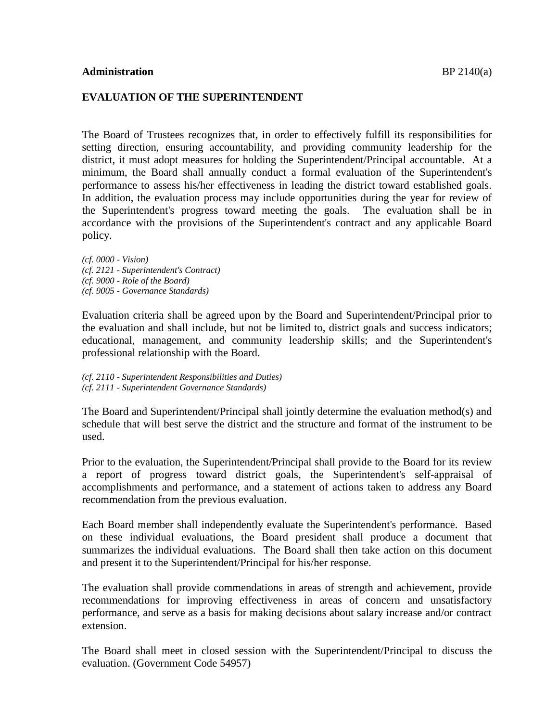#### **EVALUATION OF THE SUPERINTENDENT**

The Board of Trustees recognizes that, in order to effectively fulfill its responsibilities for setting direction, ensuring accountability, and providing community leadership for the district, it must adopt measures for holding the Superintendent/Principal accountable. At a minimum, the Board shall annually conduct a formal evaluation of the Superintendent's performance to assess his/her effectiveness in leading the district toward established goals. In addition, the evaluation process may include opportunities during the year for review of the Superintendent's progress toward meeting the goals. The evaluation shall be in accordance with the provisions of the Superintendent's contract and any applicable Board policy.

*(cf. 0000 - Vision) (cf. 2121 - Superintendent's Contract) (cf. 9000 - Role of the Board) (cf. 9005 - Governance Standards)*

Evaluation criteria shall be agreed upon by the Board and Superintendent/Principal prior to the evaluation and shall include, but not be limited to, district goals and success indicators; educational, management, and community leadership skills; and the Superintendent's professional relationship with the Board.

*(cf. 2110 - Superintendent Responsibilities and Duties) (cf. 2111 - Superintendent Governance Standards)*

The Board and Superintendent/Principal shall jointly determine the evaluation method(s) and schedule that will best serve the district and the structure and format of the instrument to be used.

Prior to the evaluation, the Superintendent/Principal shall provide to the Board for its review a report of progress toward district goals, the Superintendent's self-appraisal of accomplishments and performance, and a statement of actions taken to address any Board recommendation from the previous evaluation.

Each Board member shall independently evaluate the Superintendent's performance. Based on these individual evaluations, the Board president shall produce a document that summarizes the individual evaluations. The Board shall then take action on this document and present it to the Superintendent/Principal for his/her response.

The evaluation shall provide commendations in areas of strength and achievement, provide recommendations for improving effectiveness in areas of concern and unsatisfactory performance, and serve as a basis for making decisions about salary increase and/or contract extension.

The Board shall meet in closed session with the Superintendent/Principal to discuss the evaluation. (Government Code 54957)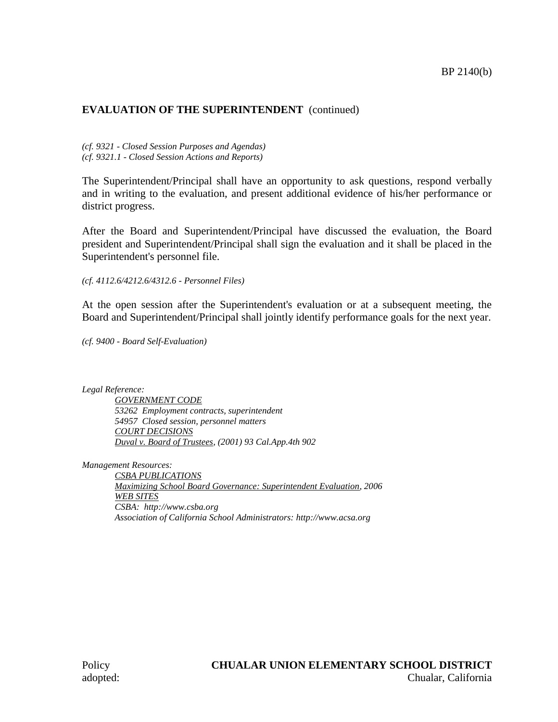# **EVALUATION OF THE SUPERINTENDENT** (continued)

*(cf. 9321 - Closed Session Purposes and Agendas) (cf. 9321.1 - Closed Session Actions and Reports)*

The Superintendent/Principal shall have an opportunity to ask questions, respond verbally and in writing to the evaluation, and present additional evidence of his/her performance or district progress.

After the Board and Superintendent/Principal have discussed the evaluation, the Board president and Superintendent/Principal shall sign the evaluation and it shall be placed in the Superintendent's personnel file.

*(cf. 4112.6/4212.6/4312.6 - Personnel Files)*

At the open session after the Superintendent's evaluation or at a subsequent meeting, the Board and Superintendent/Principal shall jointly identify performance goals for the next year.

*(cf. 9400 - Board Self-Evaluation)*

*Legal Reference:*

*GOVERNMENT CODE 53262 Employment contracts, superintendent 54957 Closed session, personnel matters COURT DECISIONS Duval v. Board of Trustees, (2001) 93 Cal.App.4th 902*

*Management Resources:*

*CSBA PUBLICATIONS Maximizing School Board Governance: Superintendent Evaluation, 2006 WEB SITES CSBA: http://www.csba.org Association of California School Administrators: http://www.acsa.org*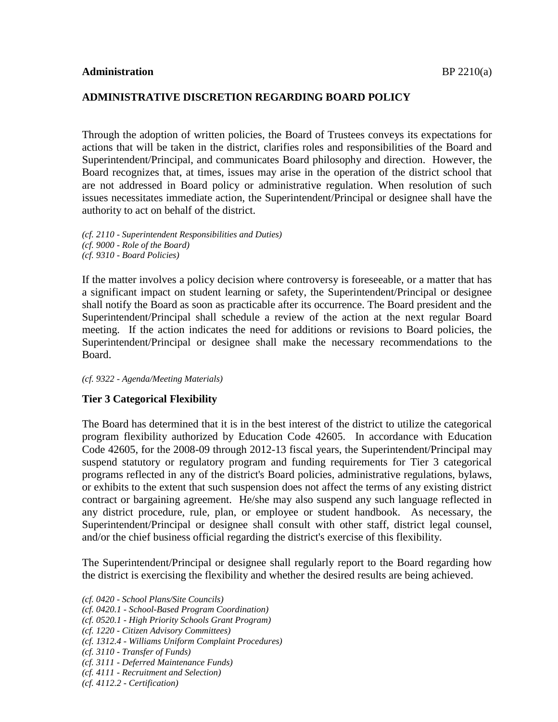### **ADMINISTRATIVE DISCRETION REGARDING BOARD POLICY**

Through the adoption of written policies, the Board of Trustees conveys its expectations for actions that will be taken in the district, clarifies roles and responsibilities of the Board and Superintendent/Principal, and communicates Board philosophy and direction. However, the Board recognizes that, at times, issues may arise in the operation of the district school that are not addressed in Board policy or administrative regulation. When resolution of such issues necessitates immediate action, the Superintendent/Principal or designee shall have the authority to act on behalf of the district.

*(cf. 2110 - Superintendent Responsibilities and Duties) (cf. 9000 - Role of the Board) (cf. 9310 - Board Policies)*

If the matter involves a policy decision where controversy is foreseeable, or a matter that has a significant impact on student learning or safety, the Superintendent/Principal or designee shall notify the Board as soon as practicable after its occurrence. The Board president and the Superintendent/Principal shall schedule a review of the action at the next regular Board meeting. If the action indicates the need for additions or revisions to Board policies, the Superintendent/Principal or designee shall make the necessary recommendations to the Board.

#### *(cf. 9322 - Agenda/Meeting Materials)*

#### **Tier 3 Categorical Flexibility**

The Board has determined that it is in the best interest of the district to utilize the categorical program flexibility authorized by Education Code 42605. In accordance with Education Code 42605, for the 2008-09 through 2012-13 fiscal years, the Superintendent/Principal may suspend statutory or regulatory program and funding requirements for Tier 3 categorical programs reflected in any of the district's Board policies, administrative regulations, bylaws, or exhibits to the extent that such suspension does not affect the terms of any existing district contract or bargaining agreement. He/she may also suspend any such language reflected in any district procedure, rule, plan, or employee or student handbook. As necessary, the Superintendent/Principal or designee shall consult with other staff, district legal counsel, and/or the chief business official regarding the district's exercise of this flexibility.

The Superintendent/Principal or designee shall regularly report to the Board regarding how the district is exercising the flexibility and whether the desired results are being achieved.

*(cf. 0420 - School Plans/Site Councils)*

- *(cf. 0420.1 - School-Based Program Coordination)*
- *(cf. 0520.1 - High Priority Schools Grant Program)*
- *(cf. 1220 - Citizen Advisory Committees)*
- *(cf. 1312.4 - Williams Uniform Complaint Procedures)*
- *(cf. 3110 - Transfer of Funds)*
- *(cf. 3111 - Deferred Maintenance Funds)*
- *(cf. 4111 - Recruitment and Selection)*
- *(cf. 4112.2 - Certification)*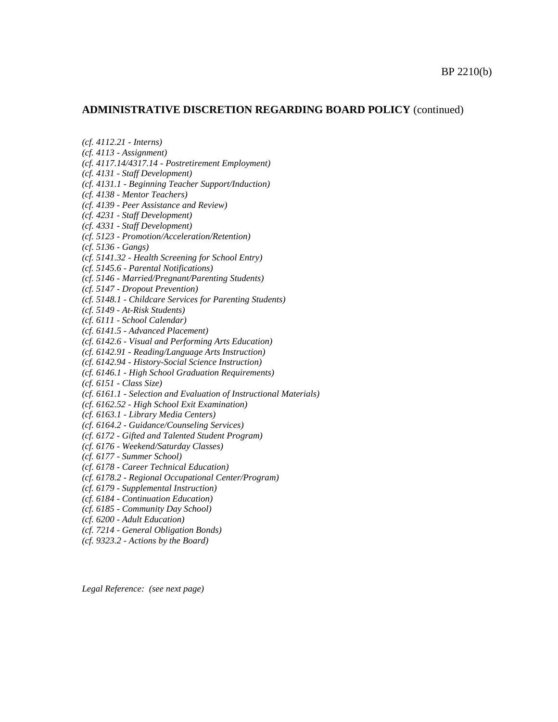#### **ADMINISTRATIVE DISCRETION REGARDING BOARD POLICY** (continued)

*(cf. 4112.21 - Interns)*

*(cf. 4113 - Assignment)*

*(cf. 4117.14/4317.14 - Postretirement Employment)*

*(cf. 4131 - Staff Development)*

*(cf. 4131.1 - Beginning Teacher Support/Induction)*

*(cf. 4138 - Mentor Teachers)*

*(cf. 4139 - Peer Assistance and Review)*

*(cf. 4231 - Staff Development)*

*(cf. 4331 - Staff Development)*

*(cf. 5123 - Promotion/Acceleration/Retention)*

*(cf. 5136 - Gangs)*

*(cf. 5141.32 - Health Screening for School Entry)*

*(cf. 5145.6 - Parental Notifications)*

*(cf. 5146 - Married/Pregnant/Parenting Students)*

*(cf. 5147 - Dropout Prevention)*

*(cf. 5148.1 - Childcare Services for Parenting Students)*

*(cf. 5149 - At-Risk Students)*

*(cf. 6111 - School Calendar)*

*(cf. 6141.5 - Advanced Placement)*

*(cf. 6142.6 - Visual and Performing Arts Education)*

*(cf. 6142.91 - Reading/Language Arts Instruction)*

*(cf. 6142.94 - History-Social Science Instruction)*

*(cf. 6146.1 - High School Graduation Requirements)*

*(cf. 6151 - Class Size)*

*(cf. 6161.1 - Selection and Evaluation of Instructional Materials)*

*(cf. 6162.52 - High School Exit Examination)*

*(cf. 6163.1 - Library Media Centers)*

*(cf. 6164.2 - Guidance/Counseling Services)*

*(cf. 6172 - Gifted and Talented Student Program)*

*(cf. 6176 - Weekend/Saturday Classes)*

*(cf. 6177 - Summer School)*

*(cf. 6178 - Career Technical Education)*

*(cf. 6178.2 - Regional Occupational Center/Program)*

*(cf. 6179 - Supplemental Instruction)*

*(cf. 6184 - Continuation Education)*

*(cf. 6185 - Community Day School)*

*(cf. 6200 - Adult Education)*

*(cf. 7214 - General Obligation Bonds)*

*(cf. 9323.2 - Actions by the Board)*

*Legal Reference: (see next page)*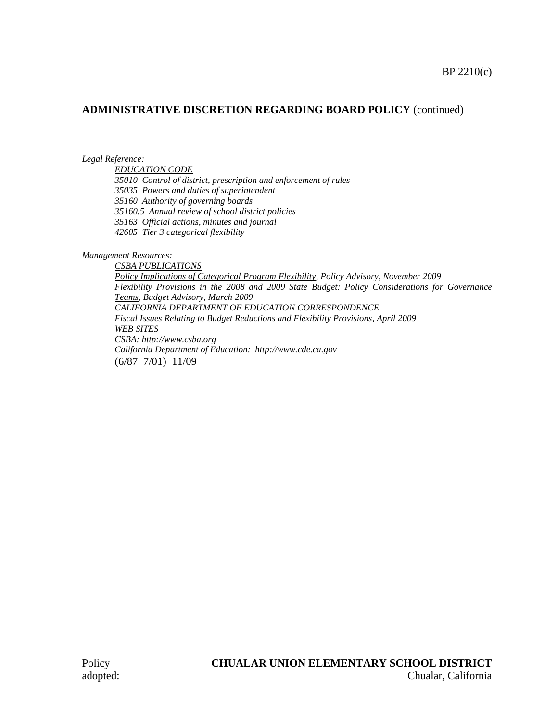### **ADMINISTRATIVE DISCRETION REGARDING BOARD POLICY** (continued)

*Legal Reference:*

*EDUCATION CODE 35010 Control of district, prescription and enforcement of rules 35035 Powers and duties of superintendent 35160 Authority of governing boards 35160.5 Annual review of school district policies 35163 Official actions, minutes and journal 42605 Tier 3 categorical flexibility*

*Management Resources:*

*CSBA PUBLICATIONS Policy Implications of Categorical Program Flexibility, Policy Advisory, November 2009 Flexibility Provisions in the 2008 and 2009 State Budget: Policy Considerations for Governance Teams, Budget Advisory, March 2009 CALIFORNIA DEPARTMENT OF EDUCATION CORRESPONDENCE Fiscal Issues Relating to Budget Reductions and Flexibility Provisions, April 2009 WEB SITES CSBA: http://www.csba.org California Department of Education: http://www.cde.ca.gov* (6/87 7/01) 11/09